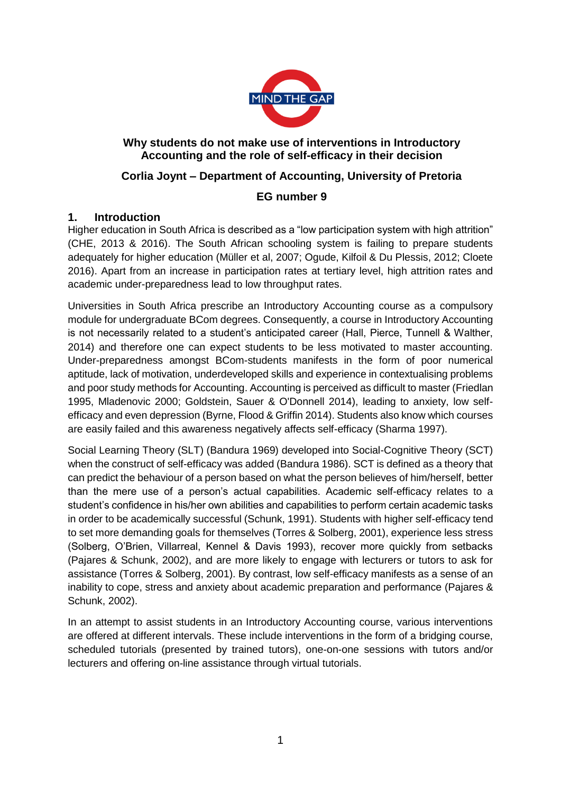

## **Why students do not make use of interventions in Introductory Accounting and the role of self-efficacy in their decision**

# **Corlia Joynt – Department of Accounting, University of Pretoria**

## **EG number 9**

#### **1. Introduction**

Higher education in South Africa is described as a "low participation system with high attrition" (CHE, 2013 & 2016). The South African schooling system is failing to prepare students adequately for higher education (Müller et al, 2007; Ogude, Kilfoil & Du Plessis, 2012; Cloete 2016). Apart from an increase in participation rates at tertiary level, high attrition rates and academic under-preparedness lead to low throughput rates.

Universities in South Africa prescribe an Introductory Accounting course as a compulsory module for undergraduate BCom degrees. Consequently, a course in Introductory Accounting is not necessarily related to a student's anticipated career (Hall, Pierce, Tunnell & Walther, 2014) and therefore one can expect students to be less motivated to master accounting. Under-preparedness amongst BCom-students manifests in the form of poor numerical aptitude, lack of motivation, underdeveloped skills and experience in contextualising problems and poor study methods for Accounting. Accounting is perceived as difficult to master (Friedlan 1995, Mladenovic 2000; Goldstein, Sauer & O'Donnell 2014), leading to anxiety, low selfefficacy and even depression (Byrne, Flood & Griffin 2014). Students also know which courses are easily failed and this awareness negatively affects self-efficacy (Sharma 1997).

Social Learning Theory (SLT) (Bandura 1969) developed into Social-Cognitive Theory (SCT) when the construct of self-efficacy was added (Bandura 1986). SCT is defined as a theory that can predict the behaviour of a person based on what the person believes of him/herself, better than the mere use of a person's actual capabilities. Academic self-efficacy relates to a student's confidence in his/her own abilities and capabilities to perform certain academic tasks in order to be academically successful (Schunk, 1991). Students with higher self-efficacy tend to set more demanding goals for themselves (Torres & Solberg, 2001), experience less stress (Solberg, O'Brien, Villarreal, Kennel & Davis 1993), recover more quickly from setbacks (Pajares & Schunk, 2002), and are more likely to engage with lecturers or tutors to ask for assistance (Torres & Solberg, 2001). By contrast, low self-efficacy manifests as a sense of an inability to cope, stress and anxiety about academic preparation and performance (Pajares & Schunk, 2002).

In an attempt to assist students in an Introductory Accounting course, various interventions are offered at different intervals. These include interventions in the form of a bridging course, scheduled tutorials (presented by trained tutors), one-on-one sessions with tutors and/or lecturers and offering on-line assistance through virtual tutorials.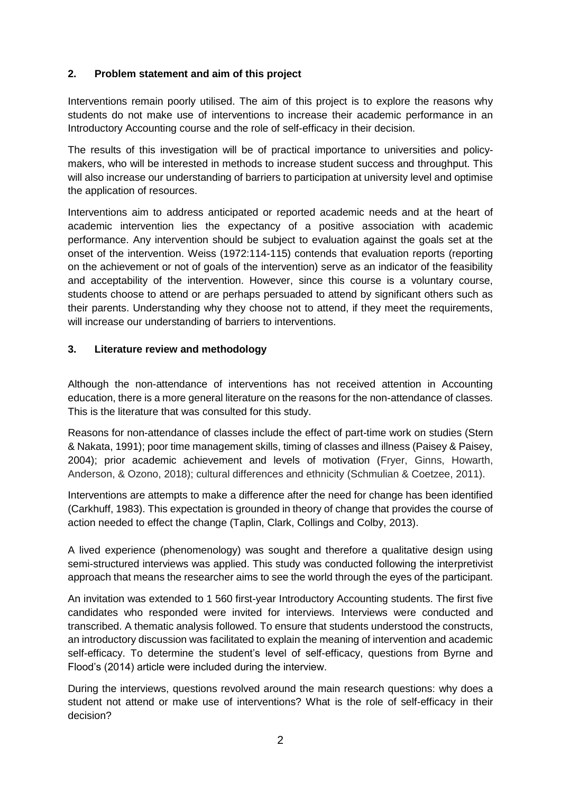#### **2. Problem statement and aim of this project**

Interventions remain poorly utilised. The aim of this project is to explore the reasons why students do not make use of interventions to increase their academic performance in an Introductory Accounting course and the role of self-efficacy in their decision.

The results of this investigation will be of practical importance to universities and policymakers, who will be interested in methods to increase student success and throughput. This will also increase our understanding of barriers to participation at university level and optimise the application of resources.

Interventions aim to address anticipated or reported academic needs and at the heart of academic intervention lies the expectancy of a positive association with academic performance. Any intervention should be subject to evaluation against the goals set at the onset of the intervention. Weiss (1972:114-115) contends that evaluation reports (reporting on the achievement or not of goals of the intervention) serve as an indicator of the feasibility and acceptability of the intervention. However, since this course is a voluntary course, students choose to attend or are perhaps persuaded to attend by significant others such as their parents. Understanding why they choose not to attend, if they meet the requirements, will increase our understanding of barriers to interventions.

#### **3. Literature review and methodology**

Although the non-attendance of interventions has not received attention in Accounting education, there is a more general literature on the reasons for the non-attendance of classes. This is the literature that was consulted for this study.

Reasons for non-attendance of classes include the effect of part-time work on studies (Stern & Nakata, 1991); poor time management skills, timing of classes and illness (Paisey & Paisey, 2004); prior academic achievement and levels of motivation (Fryer, Ginns, Howarth, Anderson, & Ozono, 2018); cultural differences and ethnicity (Schmulian & Coetzee, 2011).

Interventions are attempts to make a difference after the need for change has been identified (Carkhuff, 1983). This expectation is grounded in theory of change that provides the course of action needed to effect the change (Taplin, Clark, Collings and Colby, 2013).

A lived experience (phenomenology) was sought and therefore a qualitative design using semi-structured interviews was applied. This study was conducted following the interpretivist approach that means the researcher aims to see the world through the eyes of the participant.

An invitation was extended to 1 560 first-year Introductory Accounting students. The first five candidates who responded were invited for interviews. Interviews were conducted and transcribed. A thematic analysis followed. To ensure that students understood the constructs, an introductory discussion was facilitated to explain the meaning of intervention and academic self-efficacy. To determine the student's level of self-efficacy, questions from Byrne and Flood's (2014) article were included during the interview.

During the interviews, questions revolved around the main research questions: why does a student not attend or make use of interventions? What is the role of self-efficacy in their decision?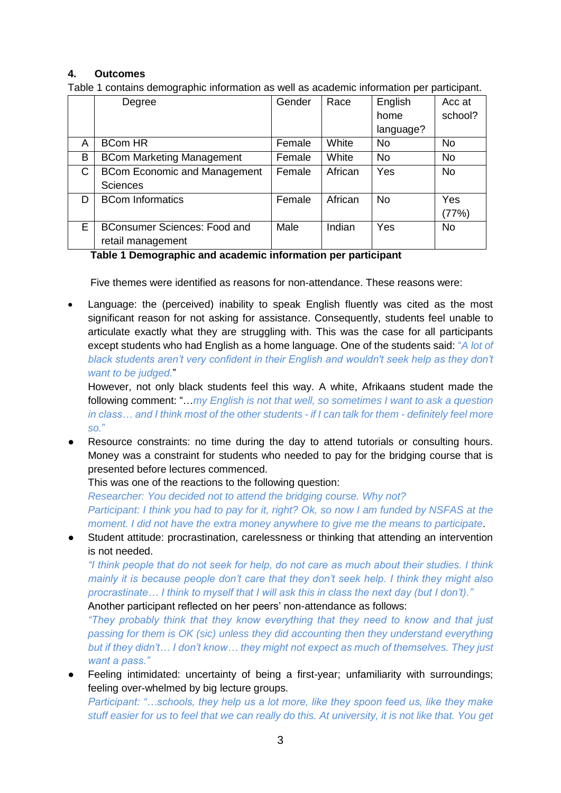#### **4. Outcomes**

Table 1 contains demographic information as well as academic information per participant.

|   | Degree                              | Gender | Race    | English   | Acc at    |
|---|-------------------------------------|--------|---------|-----------|-----------|
|   |                                     |        |         | home      | school?   |
|   |                                     |        |         | language? |           |
| A | <b>BCom HR</b>                      | Female | White   | <b>No</b> | No        |
| B | <b>BCom Marketing Management</b>    | Female | White   | <b>No</b> | <b>No</b> |
| C | <b>BCom Economic and Management</b> | Female | African | Yes       | <b>No</b> |
|   | <b>Sciences</b>                     |        |         |           |           |
| D | <b>BCom Informatics</b>             | Female | African | <b>No</b> | Yes       |
|   |                                     |        |         |           | (77%)     |
| Е | <b>BConsumer Sciences: Food and</b> | Male   | Indian  | Yes       | No        |
|   | retail management                   |        |         |           |           |

**Table 1 Demographic and academic information per participant**

Five themes were identified as reasons for non-attendance. These reasons were:

 Language: the (perceived) inability to speak English fluently was cited as the most significant reason for not asking for assistance. Consequently, students feel unable to articulate exactly what they are struggling with. This was the case for all participants except students who had English as a home language. One of the students said: "*A lot of black students aren't very confident in their English and wouldn't seek help as they don't want to be judged.*"

However, not only black students feel this way. A white, Afrikaans student made the following comment: "…*my English is not that well, so sometimes I want to ask a question in class… and I think most of the other students - if I can talk for them - definitely feel more so.*"

● Resource constraints: no time during the day to attend tutorials or consulting hours. Money was a constraint for students who needed to pay for the bridging course that is presented before lectures commenced.

This was one of the reactions to the following question:

*Researcher: You decided not to attend the bridging course. Why not? Participant: I think you had to pay for it, right? Ok, so now I am funded by NSFAS at the moment. I did not have the extra money anywhere to give me the means to participate*.

Student attitude: procrastination, carelessness or thinking that attending an intervention is not needed.

*"I think people that do not seek for help, do not care as much about their studies. I think mainly it is because people don't care that they don't seek help. I think they might also procrastinate… I think to myself that I will ask this in class the next day (but I don't)."* Another participant reflected on her peers' non-attendance as follows:

*"They probably think that they know everything that they need to know and that just passing for them is OK (sic) unless they did accounting then they understand everything but if they didn't… I don't know… they might not expect as much of themselves. They just want a pass."*

Feeling intimidated: uncertainty of being a first-year; unfamiliarity with surroundings; feeling over-whelmed by big lecture groups.

*Participant: "…schools, they help us a lot more, like they spoon feed us, like they make stuff easier for us to feel that we can really do this. At university, it is not like that. You get*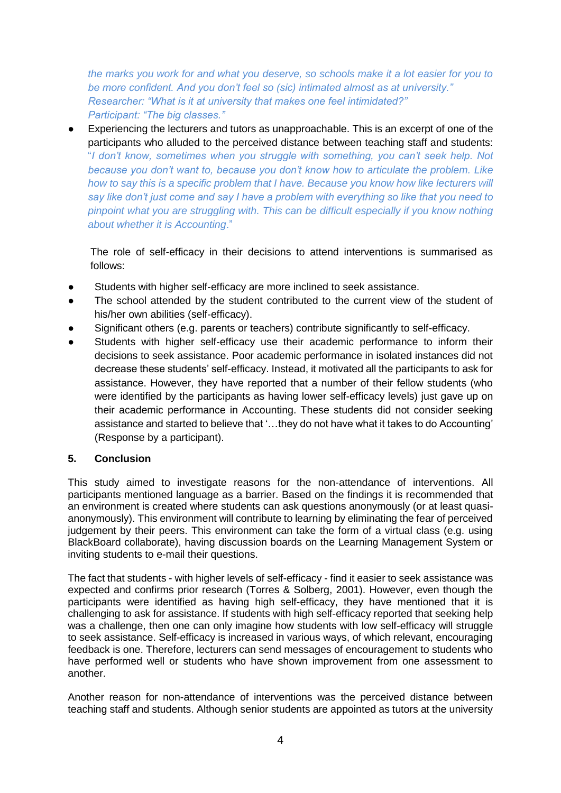*the marks you work for and what you deserve, so schools make it a lot easier for you to be more confident. And you don't feel so (sic) intimated almost as at university." Researcher: "What is it at university that makes one feel intimidated?" Participant: "The big classes."*

Experiencing the lecturers and tutors as unapproachable. This is an excerpt of one of the participants who alluded to the perceived distance between teaching staff and students: "*I don't know, sometimes when you struggle with something, you can't seek help. Not because you don't want to, because you don't know how to articulate the problem. Like how to say this is a specific problem that I have. Because you know how like lecturers will say like don't just come and say I have a problem with everything so like that you need to pinpoint what you are struggling with. This can be difficult especially if you know nothing about whether it is Accounting*."

The role of self-efficacy in their decisions to attend interventions is summarised as follows:

- Students with higher self-efficacy are more inclined to seek assistance.
- The school attended by the student contributed to the current view of the student of his/her own abilities (self-efficacy).
- Significant others (e.g. parents or teachers) contribute significantly to self-efficacy.
- Students with higher self-efficacy use their academic performance to inform their decisions to seek assistance. Poor academic performance in isolated instances did not decrease these students' self-efficacy. Instead, it motivated all the participants to ask for assistance. However, they have reported that a number of their fellow students (who were identified by the participants as having lower self-efficacy levels) just gave up on their academic performance in Accounting. These students did not consider seeking assistance and started to believe that '…they do not have what it takes to do Accounting' (Response by a participant).

#### **5. Conclusion**

This study aimed to investigate reasons for the non-attendance of interventions. All participants mentioned language as a barrier. Based on the findings it is recommended that an environment is created where students can ask questions anonymously (or at least quasianonymously). This environment will contribute to learning by eliminating the fear of perceived judgement by their peers. This environment can take the form of a virtual class (e.g. using BlackBoard collaborate), having discussion boards on the Learning Management System or inviting students to e-mail their questions.

The fact that students - with higher levels of self-efficacy - find it easier to seek assistance was expected and confirms prior research (Torres & Solberg, 2001). However, even though the participants were identified as having high self-efficacy, they have mentioned that it is challenging to ask for assistance. If students with high self-efficacy reported that seeking help was a challenge, then one can only imagine how students with low self-efficacy will struggle to seek assistance. Self-efficacy is increased in various ways, of which relevant, encouraging feedback is one. Therefore, lecturers can send messages of encouragement to students who have performed well or students who have shown improvement from one assessment to another.

Another reason for non-attendance of interventions was the perceived distance between teaching staff and students. Although senior students are appointed as tutors at the university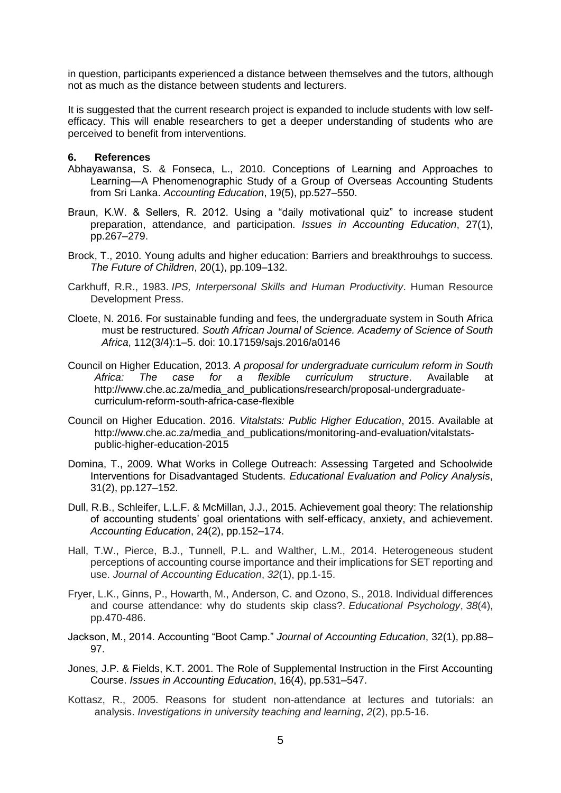in question, participants experienced a distance between themselves and the tutors, although not as much as the distance between students and lecturers.

It is suggested that the current research project is expanded to include students with low selfefficacy. This will enable researchers to get a deeper understanding of students who are perceived to benefit from interventions.

#### **6. References**

- Abhayawansa, S. & Fonseca, L., 2010. Conceptions of Learning and Approaches to Learning—A Phenomenographic Study of a Group of Overseas Accounting Students from Sri Lanka. *Accounting Education*, 19(5), pp.527–550.
- Braun, K.W. & Sellers, R. 2012. Using a "daily motivational quiz" to increase student preparation, attendance, and participation. *Issues in Accounting Education*, 27(1), pp.267–279.
- Brock, T., 2010. Young adults and higher education: Barriers and breakthrouhgs to success. *The Future of Children*, 20(1), pp.109–132.
- Carkhuff, R.R., 1983. *IPS, Interpersonal Skills and Human Productivity*. Human Resource Development Press.
- Cloete, N. 2016. For sustainable funding and fees, the undergraduate system in South Africa must be restructured. *South African Journal of Science. Academy of Science of South Africa*, 112(3/4):1–5. doi: 10.17159/sajs.2016/a0146
- Council on Higher Education, 2013. *A proposal for undergraduate curriculum reform in South Africa: The case for a flexible curriculum structure*. Available at http://www.che.ac.za/media\_and\_publications/research/proposal-undergraduatecurriculum-reform-south-africa-case-flexible
- Council on Higher Education. 2016. *Vitalstats: Public Higher Education*, 2015. Available at http://www.che.ac.za/media\_and\_publications/monitoring-and-evaluation/vitalstatspublic-higher-education-2015
- Domina, T., 2009. What Works in College Outreach: Assessing Targeted and Schoolwide Interventions for Disadvantaged Students. *Educational Evaluation and Policy Analysis*, 31(2), pp.127–152.
- Dull, R.B., Schleifer, L.L.F. & McMillan, J.J., 2015. Achievement goal theory: The relationship of accounting students' goal orientations with self-efficacy, anxiety, and achievement. *Accounting Education*, 24(2), pp.152–174.
- Hall, T.W., Pierce, B.J., Tunnell, P.L. and Walther, L.M., 2014. Heterogeneous student perceptions of accounting course importance and their implications for SET reporting and use. *Journal of Accounting Education*, *32*(1), pp.1-15.
- Fryer, L.K., Ginns, P., Howarth, M., Anderson, C. and Ozono, S., 2018. Individual differences and course attendance: why do students skip class?. *Educational Psychology*, *38*(4), pp.470-486.
- Jackson, M., 2014. Accounting "Boot Camp." *Journal of Accounting Education*, 32(1), pp.88– 97.
- Jones, J.P. & Fields, K.T. 2001. The Role of Supplemental Instruction in the First Accounting Course. *Issues in Accounting Education*, 16(4), pp.531–547.
- Kottasz, R., 2005. Reasons for student non-attendance at lectures and tutorials: an analysis. *Investigations in university teaching and learning*, *2*(2), pp.5-16.